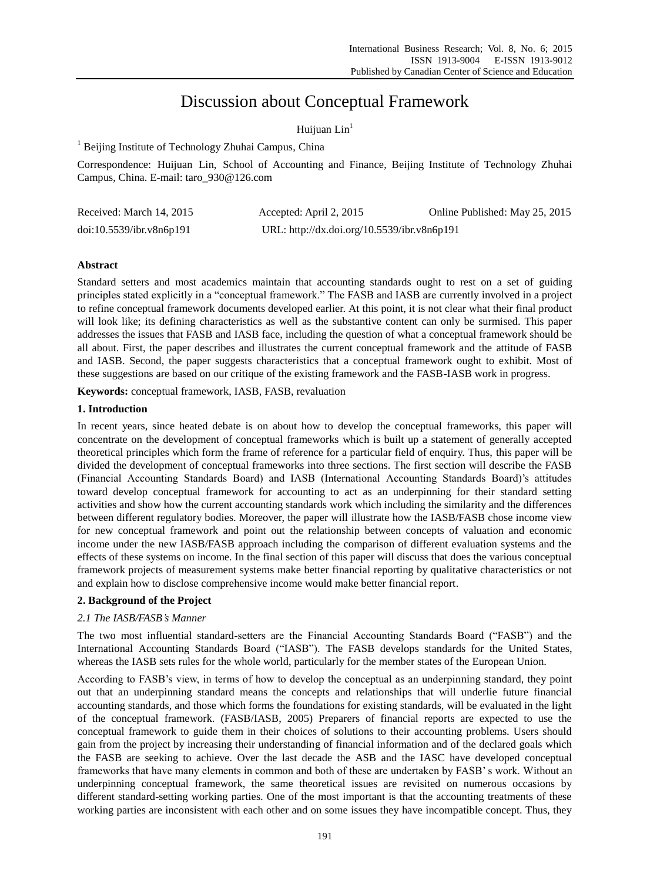# Discussion about Conceptual Framework

# Huijuan  $Lin<sup>1</sup>$

<sup>1</sup> Beijing Institute of Technology Zhuhai Campus, China

Correspondence: Huijuan Lin, School of Accounting and Finance, Beijing Institute of Technology Zhuhai Campus, China. E-mail: taro\_930@126.com

| Received: March 14, 2015 | Accepted: April 2, 2015                     | Online Published: May 25, 2015 |
|--------------------------|---------------------------------------------|--------------------------------|
| doi:10.5539/ibr.v8n6p191 | URL: http://dx.doi.org/10.5539/ibr.v8n6p191 |                                |

# **Abstract**

Standard setters and most academics maintain that accounting standards ought to rest on a set of guiding principles stated explicitly in a "conceptual framework." The FASB and IASB are currently involved in a project to refine conceptual framework documents developed earlier. At this point, it is not clear what their final product will look like; its defining characteristics as well as the substantive content can only be surmised. This paper addresses the issues that FASB and IASB face, including the question of what a conceptual framework should be all about. First, the paper describes and illustrates the current conceptual framework and the attitude of FASB and IASB. Second, the paper suggests characteristics that a conceptual framework ought to exhibit. Most of these suggestions are based on our critique of the existing framework and the FASB-IASB work in progress.

**Keywords:** conceptual framework, IASB, FASB, revaluation

# **1. Introduction**

In recent years, since heated debate is on about how to develop the conceptual frameworks, this paper will concentrate on the development of conceptual frameworks which is built up a statement of generally accepted theoretical principles which form the frame of reference for a particular field of enquiry. Thus, this paper will be divided the development of conceptual frameworks into three sections. The first section will describe the FASB (Financial Accounting Standards Board) and IASB (International Accounting Standards Board)"s attitudes toward develop conceptual framework for accounting to act as an underpinning for their standard setting activities and show how the current accounting standards work which including the similarity and the differences between different regulatory bodies. Moreover, the paper will illustrate how the IASB/FASB chose income view for new conceptual framework and point out the relationship between concepts of valuation and economic income under the new IASB/FASB approach including the comparison of different evaluation systems and the effects of these systems on income. In the final section of this paper will discuss that does the various conceptual framework projects of measurement systems make better financial reporting by qualitative characteristics or not and explain how to disclose comprehensive income would make better financial report.

# **2. Background of the Project**

# *2.1 The IASB/FASB's Manner*

The two most influential standard-setters are the Financial Accounting Standards Board ("FASB") and the International Accounting Standards Board ("IASB"). The FASB develops standards for the United States, whereas the IASB sets rules for the whole world, particularly for the member states of the European Union.

According to FASB"s view, in terms of how to develop the conceptual as an underpinning standard, they point out that an underpinning standard means the concepts and relationships that will underlie future financial accounting standards, and those which forms the foundations for existing standards, will be evaluated in the light of the conceptual framework. (FASB/IASB, 2005) Preparers of financial reports are expected to use the conceptual framework to guide them in their choices of solutions to their accounting problems. Users should gain from the project by increasing their understanding of financial information and of the declared goals which the FASB are seeking to achieve. Over the last decade the ASB and the IASC have developed conceptual frameworks that have many elements in common and both of these are undertaken by FASB" s work. Without an underpinning conceptual framework, the same theoretical issues are revisited on numerous occasions by different standard-setting working parties. One of the most important is that the accounting treatments of these working parties are inconsistent with each other and on some issues they have incompatible concept. Thus, they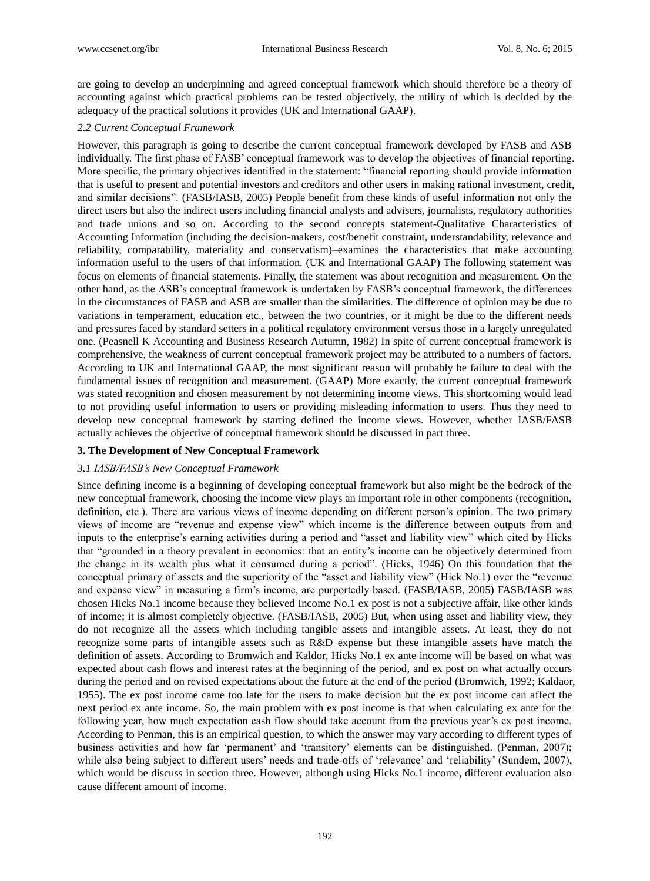are going to develop an underpinning and agreed conceptual framework which should therefore be a theory of accounting against which practical problems can be tested objectively, the utility of which is decided by the adequacy of the practical solutions it provides (UK and International GAAP).

## *2.2 Current Conceptual Framework*

However, this paragraph is going to describe the current conceptual framework developed by FASB and ASB individually. The first phase of FASB" conceptual framework was to develop the objectives of financial reporting. More specific, the primary objectives identified in the statement: "financial reporting should provide information that is useful to present and potential investors and creditors and other users in making rational investment, credit, and similar decisions". (FASB/IASB, 2005) People benefit from these kinds of useful information not only the direct users but also the indirect users including financial analysts and advisers, journalists, regulatory authorities and trade unions and so on. According to the second concepts statement-Qualitative Characteristics of Accounting Information (including the decision-makers, cost/benefit constraint, understandability, relevance and reliability, comparability, materiality and conservatism)–examines the characteristics that make accounting information useful to the users of that information. (UK and International GAAP) The following statement was focus on elements of financial statements. Finally, the statement was about recognition and measurement. On the other hand, as the ASB"s conceptual framework is undertaken by FASB"s conceptual framework, the differences in the circumstances of FASB and ASB are smaller than the similarities. The difference of opinion may be due to variations in temperament, education etc., between the two countries, or it might be due to the different needs and pressures faced by standard setters in a political regulatory environment versus those in a largely unregulated one. (Peasnell K Accounting and Business Research Autumn, 1982) In spite of current conceptual framework is comprehensive, the weakness of current conceptual framework project may be attributed to a numbers of factors. According to UK and International GAAP, the most significant reason will probably be failure to deal with the fundamental issues of recognition and measurement. (GAAP) More exactly, the current conceptual framework was stated recognition and chosen measurement by not determining income views. This shortcoming would lead to not providing useful information to users or providing misleading information to users. Thus they need to develop new conceptual framework by starting defined the income views. However, whether IASB/FASB actually achieves the objective of conceptual framework should be discussed in part three.

#### **3. The Development of New Conceptual Framework**

## *3.1 IASB/FASB's New Conceptual Framework*

Since defining income is a beginning of developing conceptual framework but also might be the bedrock of the new conceptual framework, choosing the income view plays an important role in other components (recognition, definition, etc.). There are various views of income depending on different person"s opinion. The two primary views of income are "revenue and expense view" which income is the difference between outputs from and inputs to the enterprise's earning activities during a period and "asset and liability view" which cited by Hicks that "grounded in a theory prevalent in economics: that an entity"s income can be objectively determined from the change in its wealth plus what it consumed during a period". (Hicks, 1946) On this foundation that the conceptual primary of assets and the superiority of the "asset and liability view" (Hick No.1) over the "revenue and expense view" in measuring a firm"s income, are purportedly based. (FASB/IASB, 2005) FASB/IASB was chosen Hicks No.1 income because they believed Income No.1 ex post is not a subjective affair, like other kinds of income; it is almost completely objective. (FASB/IASB, 2005) But, when using asset and liability view, they do not recognize all the assets which including tangible assets and intangible assets. At least, they do not recognize some parts of intangible assets such as R&D expense but these intangible assets have match the definition of assets. According to Bromwich and Kaldor, Hicks No.1 ex ante income will be based on what was expected about cash flows and interest rates at the beginning of the period, and ex post on what actually occurs during the period and on revised expectations about the future at the end of the period (Bromwich, 1992; Kaldaor, 1955). The ex post income came too late for the users to make decision but the ex post income can affect the next period ex ante income. So, the main problem with ex post income is that when calculating ex ante for the following year, how much expectation cash flow should take account from the previous year"s ex post income. According to Penman, this is an empirical question, to which the answer may vary according to different types of business activities and how far "permanent" and "transitory" elements can be distinguished. (Penman, 2007); while also being subject to different users' needs and trade-offs of 'relevance' and 'reliability' (Sundem, 2007), which would be discuss in section three. However, although using Hicks No.1 income, different evaluation also cause different amount of income.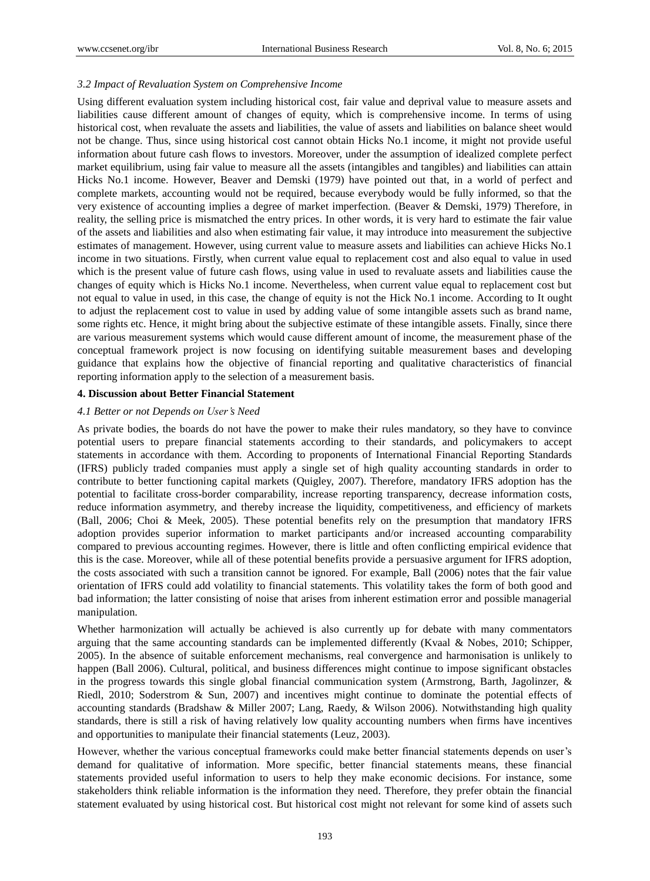## *3.2 Impact of Revaluation System on Comprehensive Income*

Using different evaluation system including historical cost, fair value and deprival value to measure assets and liabilities cause different amount of changes of equity, which is comprehensive income. In terms of using historical cost, when revaluate the assets and liabilities, the value of assets and liabilities on balance sheet would not be change. Thus, since using historical cost cannot obtain Hicks No.1 income, it might not provide useful information about future cash flows to investors. Moreover, under the assumption of idealized complete perfect market equilibrium, using fair value to measure all the assets (intangibles and tangibles) and liabilities can attain Hicks No.1 income. However, Beaver and Demski (1979) have pointed out that, in a world of perfect and complete markets, accounting would not be required, because everybody would be fully informed, so that the very existence of accounting implies a degree of market imperfection. (Beaver & Demski, 1979) Therefore, in reality, the selling price is mismatched the entry prices. In other words, it is very hard to estimate the fair value of the assets and liabilities and also when estimating fair value, it may introduce into measurement the subjective estimates of management. However, using current value to measure assets and liabilities can achieve Hicks No.1 income in two situations. Firstly, when current value equal to replacement cost and also equal to value in used which is the present value of future cash flows, using value in used to revaluate assets and liabilities cause the changes of equity which is Hicks No.1 income. Nevertheless, when current value equal to replacement cost but not equal to value in used, in this case, the change of equity is not the Hick No.1 income. According to It ought to adjust the replacement cost to value in used by adding value of some intangible assets such as brand name, some rights etc. Hence, it might bring about the subjective estimate of these intangible assets. Finally, since there are various measurement systems which would cause different amount of income, the measurement phase of the conceptual framework project is now focusing on identifying suitable measurement bases and developing guidance that explains how the objective of financial reporting and qualitative characteristics of financial reporting information apply to the selection of a measurement basis.

#### **4. Discussion about Better Financial Statement**

### *4.1 Better or not Depends on User's Need*

As private bodies, the boards do not have the power to make their rules mandatory, so they have to convince potential users to prepare financial statements according to their standards, and policymakers to accept statements in accordance with them. According to proponents of International Financial Reporting Standards (IFRS) publicly traded companies must apply a single set of high quality accounting standards in order to contribute to better functioning capital markets (Quigley, 2007). Therefore, mandatory IFRS adoption has the potential to facilitate cross-border comparability, increase reporting transparency, decrease information costs, reduce information asymmetry, and thereby increase the liquidity, competitiveness, and efficiency of markets (Ball, 2006; Choi & Meek, 2005). These potential benefits rely on the presumption that mandatory IFRS adoption provides superior information to market participants and/or increased accounting comparability compared to previous accounting regimes. However, there is little and often conflicting empirical evidence that this is the case. Moreover, while all of these potential benefits provide a persuasive argument for IFRS adoption, the costs associated with such a transition cannot be ignored. For example, Ball (2006) notes that the fair value orientation of IFRS could add volatility to financial statements. This volatility takes the form of both good and bad information; the latter consisting of noise that arises from inherent estimation error and possible managerial manipulation.

Whether harmonization will actually be achieved is also currently up for debate with many commentators arguing that the same accounting standards can be implemented differently (Kvaal & Nobes, 2010; Schipper, 2005). In the absence of suitable enforcement mechanisms, real convergence and harmonisation is unlikely to happen (Ball 2006). Cultural, political, and business differences might continue to impose significant obstacles in the progress towards this single global financial communication system (Armstrong, Barth, Jagolinzer, & Riedl, 2010; Soderstrom & Sun, 2007) and incentives might continue to dominate the potential effects of accounting standards (Bradshaw & Miller 2007; Lang, Raedy, & Wilson 2006). Notwithstanding high quality standards, there is still a risk of having relatively low quality accounting numbers when firms have incentives and opportunities to manipulate their financial statements (Leuz, 2003).

However, whether the various conceptual frameworks could make better financial statements depends on user"s demand for qualitative of information. More specific, better financial statements means, these financial statements provided useful information to users to help they make economic decisions. For instance, some stakeholders think reliable information is the information they need. Therefore, they prefer obtain the financial statement evaluated by using historical cost. But historical cost might not relevant for some kind of assets such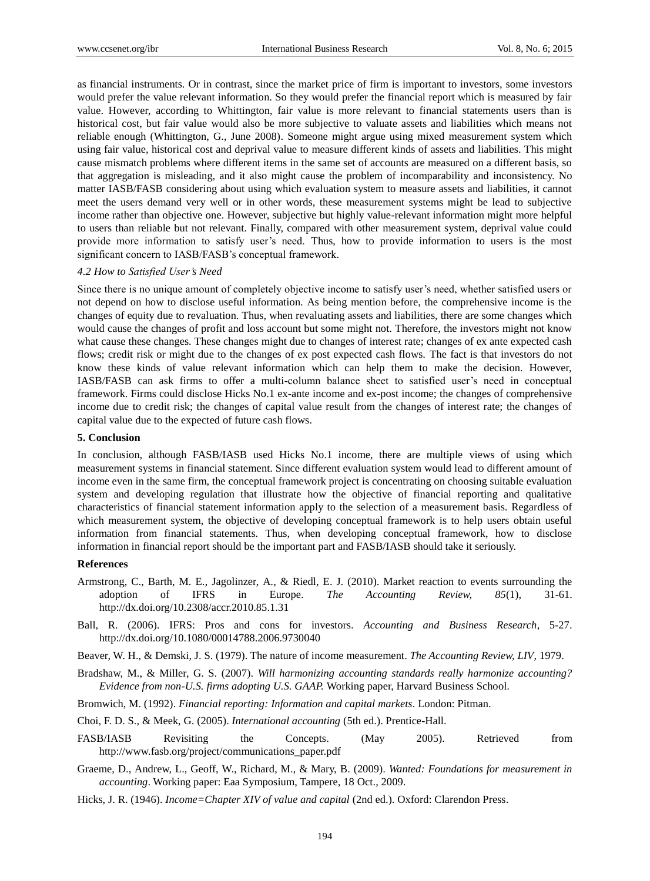as financial instruments. Or in contrast, since the market price of firm is important to investors, some investors would prefer the value relevant information. So they would prefer the financial report which is measured by fair value. However, according to Whittington, fair value is more relevant to financial statements users than is historical cost, but fair value would also be more subjective to valuate assets and liabilities which means not reliable enough (Whittington, G., June 2008). Someone might argue using mixed measurement system which using fair value, historical cost and deprival value to measure different kinds of assets and liabilities. This might cause mismatch problems where different items in the same set of accounts are measured on a different basis, so that aggregation is misleading, and it also might cause the problem of incomparability and inconsistency. No matter IASB/FASB considering about using which evaluation system to measure assets and liabilities, it cannot meet the users demand very well or in other words, these measurement systems might be lead to subjective income rather than objective one. However, subjective but highly value-relevant information might more helpful to users than reliable but not relevant. Finally, compared with other measurement system, deprival value could provide more information to satisfy user"s need. Thus, how to provide information to users is the most significant concern to IASB/FASB's conceptual framework.

#### *4.2 How to Satisfied User's Need*

Since there is no unique amount of completely objective income to satisfy user"s need, whether satisfied users or not depend on how to disclose useful information. As being mention before, the comprehensive income is the changes of equity due to revaluation. Thus, when revaluating assets and liabilities, there are some changes which would cause the changes of profit and loss account but some might not. Therefore, the investors might not know what cause these changes. These changes might due to changes of interest rate; changes of ex ante expected cash flows; credit risk or might due to the changes of ex post expected cash flows. The fact is that investors do not know these kinds of value relevant information which can help them to make the decision. However, IASB/FASB can ask firms to offer a multi-column balance sheet to satisfied user"s need in conceptual framework. Firms could disclose Hicks No.1 ex-ante income and ex-post income; the changes of comprehensive income due to credit risk; the changes of capital value result from the changes of interest rate; the changes of capital value due to the expected of future cash flows.

#### **5. Conclusion**

In conclusion, although FASB/IASB used Hicks No.1 income, there are multiple views of using which measurement systems in financial statement. Since different evaluation system would lead to different amount of income even in the same firm, the conceptual framework project is concentrating on choosing suitable evaluation system and developing regulation that illustrate how the objective of financial reporting and qualitative characteristics of financial statement information apply to the selection of a measurement basis. Regardless of which measurement system, the objective of developing conceptual framework is to help users obtain useful information from financial statements. Thus, when developing conceptual framework, how to disclose information in financial report should be the important part and FASB/IASB should take it seriously.

#### **References**

- Armstrong, C., Barth, M. E., Jagolinzer, A., & Riedl, E. J. (2010). Market reaction to events surrounding the adoption of IFRS in Europe. *The Accounting Review, 85*(1), 31-61. http://dx.doi.org/10.2308/accr.2010.85.1.31
- Ball, R. (2006). IFRS: Pros and cons for investors. *Accounting and Business Research*, 5-27. http://dx.doi.org/10.1080/00014788.2006.9730040

Beaver, W. H., & Demski, J. S. (1979). The nature of income measurement. *The Accounting Review, LIV*, 1979.

Bradshaw, M., & Miller, G. S. (2007). *Will harmonizing accounting standards really harmonize accounting? Evidence from non-U.S. firms adopting U.S. GAAP.* Working paper, Harvard Business School.

Bromwich, M. (1992). *Financial reporting: Information and capital markets*. London: Pitman.

Choi, F. D. S., & Meek, G. (2005). *International accounting* (5th ed.). Prentice-Hall.

- FASB/IASB Revisiting the Concepts. (May 2005). Retrieved from http://www.fasb.org/project/communications\_paper.pdf
- Graeme, D., Andrew, L., Geoff, W., Richard, M., & Mary, B. (2009). *Wanted: Foundations for measurement in accounting*. Working paper: Eaa Symposium, Tampere, 18 Oct., 2009.
- Hicks, J. R. (1946). *Income=Chapter XIV of value and capital* (2nd ed.). Oxford: Clarendon Press.